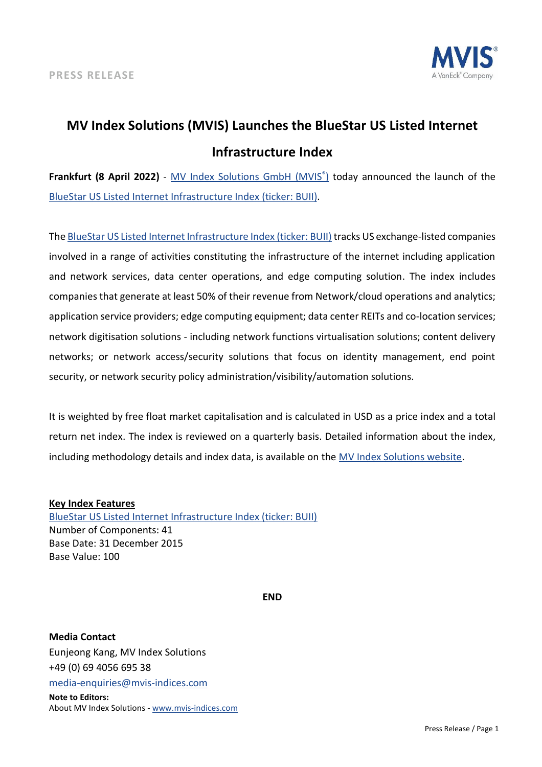

## **MV Index Solutions (MVIS) Launches the BlueStar US Listed Internet Infrastructure Index**

**Frankfurt (8 April 2022)** - [MV Index Solutions GmbH \(MVIS](https://www.mvis-indices.com/)[®](https://www.mvis-indices.com/) [\)](https://www.mvis-indices.com/) today announced the launch of th[e](https://mvis-indices.com/indices/sector/BlueStar-US-Listed-Internet-Infrastructure?utm_source=mvis&utm_medium=pressrelease&utm_campaign=announcement) [BlueStar US Listed Internet Infrastructure Index \(ticker: BUII\).](https://mvis-indices.com/indices/sector/BlueStar-US-Listed-Internet-Infrastructure?utm_source=mvis&utm_medium=pressrelease&utm_campaign=announcement)

The [BlueStar US Listed Internet Infrastructure Index \(ticker: BUII\)](https://mvis-indices.com/indices/sector/BlueStar-US-Listed-Internet-Infrastructure?utm_source=mvis&utm_medium=pressrelease&utm_campaign=announcement) tracks US exchange-listed companies involved in a range of activities constituting the infrastructure of the internet including application and network services, data center operations, and edge computing solution. The index includes companies that generate at least 50% of their revenue from Network/cloud operations and analytics; application service providers; edge computing equipment; data center REITs and co-location services; network digitisation solutions - including network functions virtualisation solutions; content delivery networks; or network access/security solutions that focus on identity management, end point security, or network security policy administration/visibility/automation solutions.

It is weighted by free float market capitalisation and is calculated in USD as a price index and a total return net index. The index is reviewed on a quarterly basis. Detailed information about the index, including methodology details and index data, is available on th[e MV Index Solutions website.](https://www.mvis-indices.com/?utm_source=mvis&utm_medium=pressrelease&utm_campaign=announcement)

## **Key Index Features**

[BlueStar US Listed Internet Infrastructure Index \(ticker: BUII\)](https://mvis-indices.com/indices/sector/BlueStar-US-Listed-Internet-Infrastructure?utm_source=mvis&utm_medium=pressrelease&utm_campaign=announcement) Number of Components: 41 Base Date: 31 December 2015 Base Value: 100

**END**

**Media Contact** Eunjeong Kang, MV Index Solutions +49 (0) 69 4056 695 38 [media-enquiries@mvis-indices.com](mailto:media-enquiries@mvis-indices.com) **Note to Editors:** About MV Index Solutions - [www.mvis-indices.com](http://www.mvis-indices.com/)